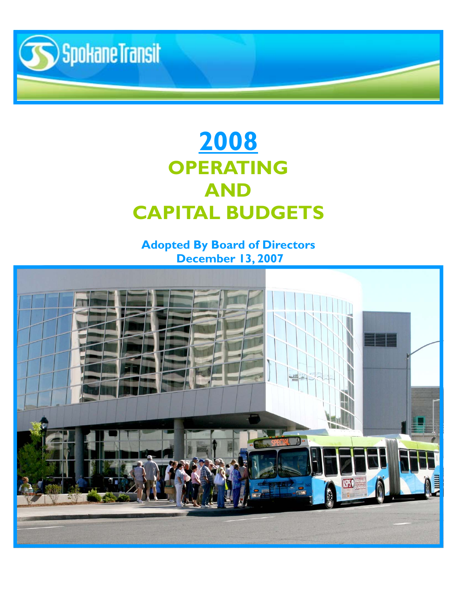

# **2008 OPERATING AND CAPITAL BUDGETS**

### **Adopted By Board of Directors December 13, 2007**

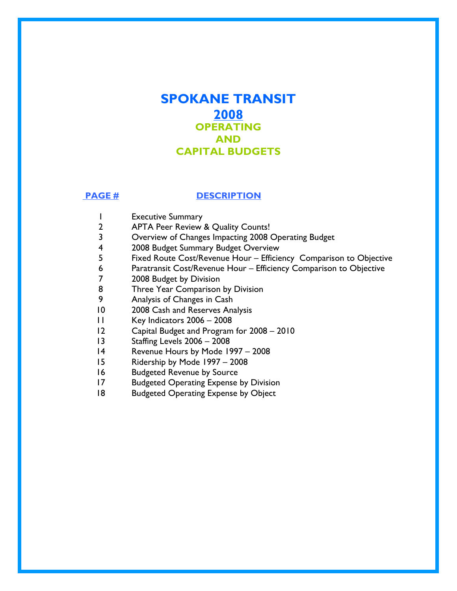### **SPOKANE TRANSIT 2008 OPERATING AND CAPITAL BUDGETS**

#### **PAGE # DESCRIPTION**

- 1 Executive Summary
- 2 APTA Peer Review & Quality Counts!
- 3 Overview of Changes Impacting 2008 Operating Budget
- 4 2008 Budget Summary Budget Overview
- 5 Fixed Route Cost/Revenue Hour Efficiency Comparison to Objective
- 6 Paratransit Cost/Revenue Hour Efficiency Comparison to Objective
- 7 2008 Budget by Division
- 8 Three Year Comparison by Division
- 9 Analysis of Changes in Cash
- 10 2008 Cash and Reserves Analysis
- 11 Key Indicators 2006 2008
- 12 Capital Budget and Program for 2008 2010
- 13 Staffing Levels 2006 2008
- 14 Revenue Hours by Mode 1997 2008
- 15 Ridership by Mode 1997 2008
- 16 Budgeted Revenue by Source
- 17 Budgeted Operating Expense by Division
- 18 Budgeted Operating Expense by Object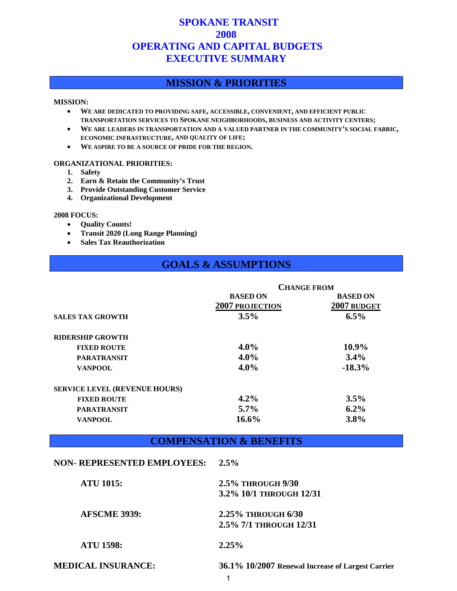### **SPOKANE TRANSIT 2008 2008 OPERATING AND CAPITAL BUDGETS EXECUTIVE SUMMARY**

#### **MISSION & PRIORITIES**

#### **MISSION:**

- **WE ARE DEDICATED TO PROVIDING SAFE, ACCESSIBLE, CONVENIENT, AND EFFICIENT PUBLIC TRANSPORTATION SERVICES TO SPOKANE NEIGHBORHOODS, BUSINESS AND ACTIVITY CENTERS;**
- **WE ARE LEADERS IN TRANSPORTATION AND A VALUED PARTNER IN THE COMMUNITY'S SOCIAL FABRIC, ECONOMIC INFRASTRUCTURE, AND QUALITY OF LIFE;**
- **WE ASPIRE TO BE A SOURCE OF PRIDE FOR THE REGION.**

#### **ORGANIZATIONAL PRIORITIES:**

- **1. Safety**
- **2. Earn & Retain the Community's Trust**
- **3. Provide Outstanding Customer Service**
- **4. Organizational Development**

#### **2008 FOCUS:**

- **Quality Counts!**
- **Transit 2020 (Long Range Planning)**
- **Sales Tax Reauthorization**

#### **GOALS & ASSUMPTIONS**

|                                      | <b>CHANGE FROM</b>     |                 |  |  |  |
|--------------------------------------|------------------------|-----------------|--|--|--|
|                                      | <b>BASED ON</b>        | <b>BASED ON</b> |  |  |  |
|                                      | <b>2007 PROJECTION</b> | 2007 BUDGET     |  |  |  |
| <b>SALES TAX GROWTH</b>              | 3.5%                   | 6.5%            |  |  |  |
| <b>RIDERSHIP GROWTH</b>              |                        |                 |  |  |  |
| <b>FIXED ROUTE</b>                   | $4.0\%$                | 10.9%           |  |  |  |
| <b>PARATRANSIT</b>                   | $4.0\%$                | 3.4%            |  |  |  |
| <b>VANPOOL</b>                       | $4.0\%$                | $-18.3%$        |  |  |  |
| <b>SERVICE LEVEL (REVENUE HOURS)</b> |                        |                 |  |  |  |
| <b>FIXED ROUTE</b>                   | 4.2%                   | 3.5%            |  |  |  |
| <b>PARATRANSIT</b>                   | $5.7\%$                | $6.2\%$         |  |  |  |
| <b>VANPOOL</b>                       | $16.6\%$               | 3.8%            |  |  |  |

#### **COMPENSATION & BENEFITS**

#### **NON- REPRESENTED EMPLOYEES: 2.5%**

| <b>ATU 1015:</b>          | 2.5% THROUGH 9/30                                 |
|---------------------------|---------------------------------------------------|
|                           | 3.2% 10/1 THROUGH 12/31                           |
| <b>AFSCME 3939:</b>       | 2.25% THROUGH 6/30                                |
|                           | 2.5% 7/1 THROUGH 12/31                            |
| <b>ATU 1598:</b>          | 2.25%                                             |
| <b>MEDICAL INSURANCE:</b> | 36.1% 10/2007 Renewal Increase of Largest Carrier |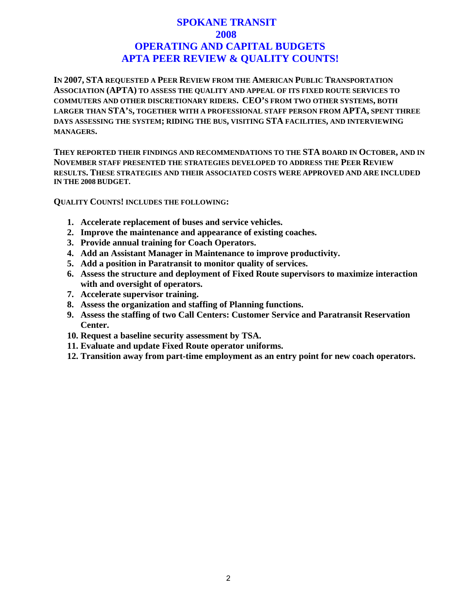### **SPOKANE TRANSIT 2008 2008 OPERATING AND CAPITAL BUDGETS APTA PEER REVIEW & QUALITY COUNTS!**

**IN 2007, STA REQUESTED A PEER REVIEW FROM THE AMERICAN PUBLIC TRANSPORTATION ASSOCIATION (APTA) TO ASSESS THE QUALITY AND APPEAL OF ITS FIXED ROUTE SERVICES TO COMMUTERS AND OTHER DISCRETIONARY RIDERS. CEO'S FROM TWO OTHER SYSTEMS, BOTH LARGER THAN STA'S, TOGETHER WITH A PROFESSIONAL STAFF PERSON FROM APTA, SPENT THREE DAYS ASSESSING THE SYSTEM; RIDING THE BUS, VISITING STA FACILITIES, AND INTERVIEWING MANAGERS.**

**THEY REPORTED THEIR FINDINGS AND RECOMMENDATIONS TO THE STA BOARD IN OCTOBER, AND IN NOVEMBER STAFF PRESENTED THE STRATEGIES DEVELOPED TO ADDRESS THE PEER REVIEW RESULTS. THESE STRATEGIES AND THEIR ASSOCIATED COSTS WERE APPROVED AND ARE INCLUDED IN THE 2008 BUDGET.** 

**QUALITY COUNTS! INCLUDES THE FOLLOWING:**

- **1. Accelerate replacement of buses and service vehicles.**
- **2. Improve the maintenance and appearance of existing coaches.**
- **3. Provide annual training for Coach Operators.**
- **4. Add an Assistant Manager in Maintenance to improve productivity.**
- **5. Add a position in Paratransit to monitor quality of services.**
- **6. Assess the structure and deployment of Fixed Route supervisors to maximize interaction with and oversight of operators.**
- **7. Accelerate supervisor training.**
- **8. Assess the organization and staffing of Planning functions.**
- **9. Assess the staffing of two Call Centers: Customer Service and Paratransit Reservation Center.**
- **10. Request a baseline security assessment by TSA.**
- **11. Evaluate and update Fixed Route operator uniforms.**
- **12. Transition away from part-time employment as an entry point for new coach operators.**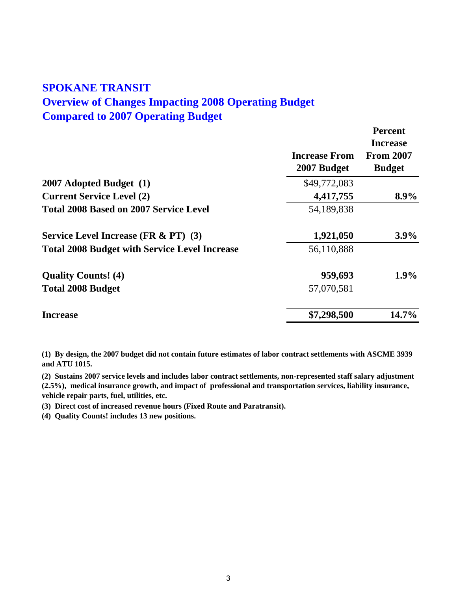### **SPOKANE TRANSIT Overview of Changes Impacting 2008 Operating Budget Compared to 2007 Operating Budget**

|                                                      | <b>Increase From</b><br>2007 Budget | <b>Percent</b><br><b>Increase</b><br><b>From 2007</b><br><b>Budget</b> |
|------------------------------------------------------|-------------------------------------|------------------------------------------------------------------------|
| 2007 Adopted Budget (1)                              | \$49,772,083                        |                                                                        |
| <b>Current Service Level (2)</b>                     | 4,417,755                           | 8.9%                                                                   |
| <b>Total 2008 Based on 2007 Service Level</b>        | 54,189,838                          |                                                                        |
| <b>Service Level Increase (FR &amp; PT) (3)</b>      | 1,921,050                           | $3.9\%$                                                                |
| <b>Total 2008 Budget with Service Level Increase</b> | 56,110,888                          |                                                                        |
| <b>Quality Counts!</b> (4)                           | 959,693                             | $1.9\%$                                                                |
| <b>Total 2008 Budget</b>                             | 57,070,581                          |                                                                        |
| <b>Increase</b>                                      | \$7,298,500                         | $14.7\%$                                                               |

**(1) By design, the 2007 budget did not contain future estimates of labor contract settlements with ASCME 3939 and ATU 1015.**

**(2) Sustains 2007 service levels and includes labor contract settlements, non-represented staff salary adjustment (2.5%), medical insurance growth, and impact of professional and transportation services, liability insurance, vehicle repair parts, fuel, utilities, etc.**

**(3) Direct cost of increased revenue hours (Fixed Route and Paratransit).**

**(4) Quality Counts! includes 13 new positions.**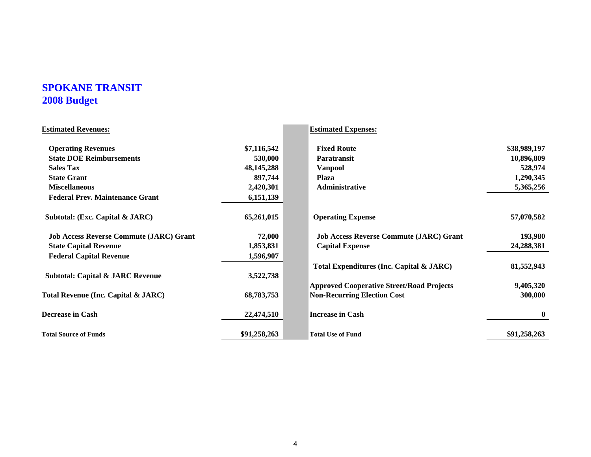### **SPOKANE TRANSIT 2008 Budget**

| <b>Estimated Revenues:</b>                     |              | <b>Estimated Expenses:</b>                       |              |
|------------------------------------------------|--------------|--------------------------------------------------|--------------|
| <b>Operating Revenues</b>                      | \$7,116,542  | <b>Fixed Route</b>                               | \$38,989,197 |
| <b>State DOE Reimbursements</b>                | 530,000      | <b>Paratransit</b>                               | 10,896,809   |
| <b>Sales Tax</b>                               | 48, 145, 288 | <b>Vanpool</b>                                   | 528,974      |
| <b>State Grant</b>                             | 897,744      | <b>Plaza</b>                                     | 1,290,345    |
| <b>Miscellaneous</b>                           | 2,420,301    | Administrative                                   | 5,365,256    |
| <b>Federal Prev. Maintenance Grant</b>         | 6,151,139    |                                                  |              |
| Subtotal: (Exc. Capital & JARC)                | 65,261,015   | <b>Operating Expense</b>                         | 57,070,582   |
| <b>Job Access Reverse Commute (JARC) Grant</b> | 72,000       | <b>Job Access Reverse Commute (JARC) Grant</b>   | 193,980      |
| <b>State Capital Revenue</b>                   | 1,853,831    | <b>Capital Expense</b>                           | 24,288,381   |
| <b>Federal Capital Revenue</b>                 | 1,596,907    |                                                  |              |
|                                                |              | Total Expenditures (Inc. Capital & JARC)         | 81,552,943   |
| <b>Subtotal: Capital &amp; JARC Revenue</b>    | 3,522,738    |                                                  |              |
|                                                |              | <b>Approved Cooperative Street/Road Projects</b> | 9,405,320    |
| Total Revenue (Inc. Capital & JARC)            | 68,783,753   | <b>Non-Recurring Election Cost</b>               | 300,000      |
| <b>Decrease in Cash</b>                        | 22,474,510   | <b>Increase in Cash</b>                          | $\bf{0}$     |
| <b>Total Source of Funds</b>                   | \$91,258,263 | <b>Total Use of Fund</b>                         | \$91,258,263 |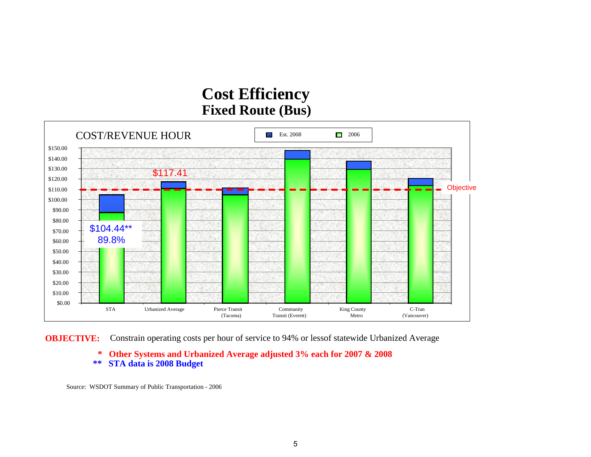## **Cost Efficiency Fixed Route (Bus)**



**OBJECTIVE:** Constrain operating costs per hour of service to 94% or lessof statewide Urbanized Average

**\* Other Systems and Urbanized Average adjusted 3% each for 2007 & 2008 \*\* STA data is 2008 Budget**

Source: WSDOT Summary of Public Transportation - 2006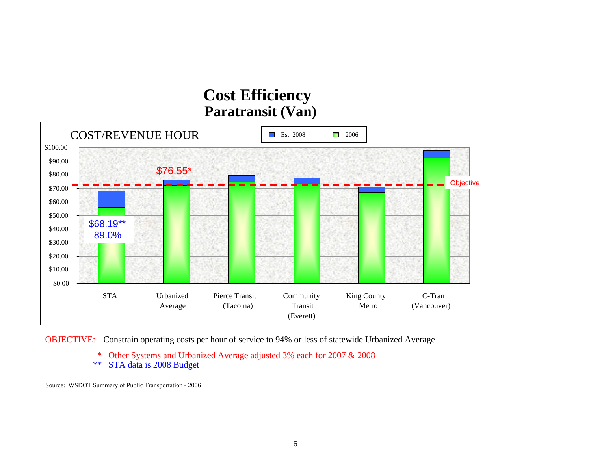## **Cost Efficiency Paratransit (Van)**



OBJECTIVE: Constrain operating costs per hour of service to 94% or less of statewide Urbanized Average

- \* Other Systems and Urbanized Average adjusted 3% each for  $2007 \& 2008$ <br>\*\* STA data is 2008 Budget
- STA data is 2008 Budget

Source: WSDOT Summary of Public Transportation - 2006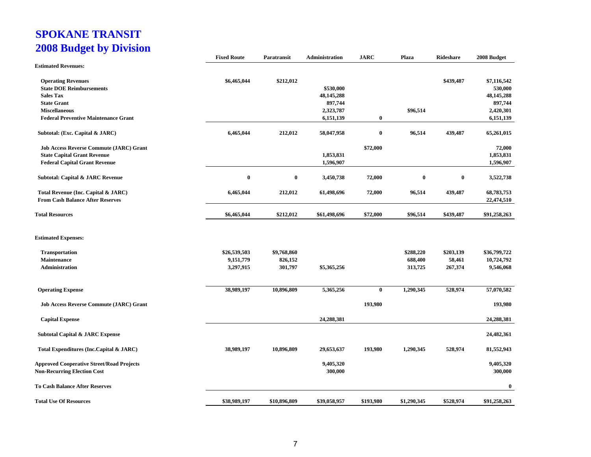### **SPOKANE TRANSIT 2008 Budget by Division**

|                                                  | <b>Fixed Route</b> | Paratransit  | Administration | <b>JARC</b> | Plaza       | Rideshare | 2008 Budget  |
|--------------------------------------------------|--------------------|--------------|----------------|-------------|-------------|-----------|--------------|
| <b>Estimated Revenues:</b>                       |                    |              |                |             |             |           |              |
| <b>Operating Revenues</b>                        | \$6,465,044        | \$212,012    |                |             |             | \$439,487 | \$7,116,542  |
| <b>State DOE Reimbursements</b>                  |                    |              | \$530,000      |             |             |           | 530,000      |
| <b>Sales Tax</b>                                 |                    |              | 48, 145, 288   |             |             |           | 48, 145, 288 |
| <b>State Grant</b>                               |                    |              | 897,744        |             |             |           | 897,744      |
| <b>Miscellaneous</b>                             |                    |              | 2,323,787      |             | \$96,514    |           | 2,420,301    |
| <b>Federal Preventive Maintenance Grant</b>      |                    |              | 6,151,139      | $\bf{0}$    |             |           | 6,151,139    |
| Subtotal: (Exc. Capital & JARC)                  | 6,465,044          | 212,012      | 58,047,958     | $\bf{0}$    | 96,514      | 439,487   | 65,261,015   |
| <b>Job Access Reverse Commute (JARC) Grant</b>   |                    |              |                | \$72,000    |             |           | 72,000       |
| <b>State Capital Grant Revenue</b>               |                    |              | 1,853,831      |             |             |           | 1,853,831    |
|                                                  |                    |              |                |             |             |           |              |
| <b>Federal Capital Grant Revenue</b>             |                    |              | 1,596,907      |             |             |           | 1,596,907    |
| <b>Subtotal: Capital &amp; JARC Revenue</b>      | $\bf{0}$           | $\bf{0}$     | 3,450,738      | 72,000      | $\bf{0}$    | $\bf{0}$  | 3,522,738    |
| Total Revenue (Inc. Capital & JARC)              | 6,465,044          | 212,012      | 61,498,696     | 72,000      | 96,514      | 439,487   | 68,783,753   |
| <b>From Cash Balance After Reserves</b>          |                    |              |                |             |             |           | 22,474,510   |
| <b>Total Resources</b>                           | \$6,465,044        | \$212,012    | \$61,498,696   | \$72,000    | \$96,514    | \$439,487 | \$91,258,263 |
| <b>Estimated Expenses:</b>                       |                    |              |                |             |             |           |              |
| <b>Transportation</b>                            | \$26,539,503       | \$9,768,860  |                |             | \$288,220   | \$203,139 | \$36,799,722 |
| Maintenance                                      | 9,151,779          | 826,152      |                |             | 688,400     | 58,461    | 10,724,792   |
| <b>Administration</b>                            | 3,297,915          | 301,797      | \$5,365,256    |             | 313,725     | 267,374   | 9,546,068    |
|                                                  |                    |              |                |             |             |           |              |
| <b>Operating Expense</b>                         | 38,989,197         | 10,896,809   | 5,365,256      | $\bf{0}$    | 1,290,345   | 528,974   | 57,070,582   |
| <b>Job Access Reverse Commute (JARC) Grant</b>   |                    |              |                | 193,980     |             |           | 193,980      |
| <b>Capital Expense</b>                           |                    |              | 24,288,381     |             |             |           | 24,288,381   |
| <b>Subtotal Capital &amp; JARC Expense</b>       |                    |              |                |             |             |           | 24,482,361   |
| Total Expenditures (Inc.Capital & JARC)          | 38,989,197         | 10,896,809   | 29,653,637     | 193,980     | 1,290,345   | 528,974   | 81,552,943   |
| <b>Approved Cooperative Street/Road Projects</b> |                    |              | 9,405,320      |             |             |           | 9,405,320    |
| <b>Non-Recurring Election Cost</b>               |                    |              | 300,000        |             |             |           | 300,000      |
| <b>To Cash Balance After Reserves</b>            |                    |              |                |             |             |           | $\bf{0}$     |
| <b>Total Use Of Resources</b>                    | \$38,989,197       | \$10,896,809 | \$39,058,957   | \$193,980   | \$1,290,345 | \$528,974 | \$91,258,263 |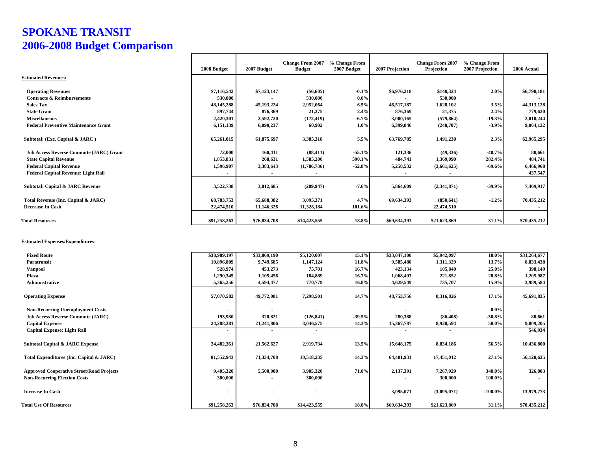### **SPOKANE TRANSIT 2006-2008 Budget Comparison**

|                                                | 2008 Budget    | 2007 Budget  | <b>Change From 2007</b><br><b>Budget</b> | % Change From<br>2007 Budget | 2007 Projection | <b>Change From 2007</b><br>Projection | % Change From<br>2007 Projection | 2006 Actual  |
|------------------------------------------------|----------------|--------------|------------------------------------------|------------------------------|-----------------|---------------------------------------|----------------------------------|--------------|
| <b>Estimated Revenues:</b>                     |                |              |                                          |                              |                 |                                       |                                  |              |
| <b>Operating Revenues</b>                      | \$7,116,542    | \$7,123,147  | $(\$6,605)$                              | $-0.1\%$                     | \$6,976,218     | \$140,324                             | 2.0%                             | \$6,798,181  |
| <b>Contracts &amp; Reimbursements</b>          | 530,000        |              | 530,000                                  | $0.0\%$                      |                 | 530,000                               |                                  |              |
| <b>Sales Tax</b>                               | 48, 145, 288   | 45,193,224   | 2,952,064                                | 6.5%                         | 46,517,187      | 1,628,102                             | 3.5%                             | 44,313,128   |
| <b>State Grant</b>                             | 897,744        | 876,369      | 21,375                                   | 2.4%                         | 876,369         | 21,375                                | 2.4%                             | 779,620      |
| <b>Miscellaneous</b>                           | 2,420,301      | 2,592,720    | (172, 419)                               | $-6.7\%$                     | 3,000,165       | (579, 864)                            | $-19.3%$                         | 2,010,244    |
| <b>Federal Preventive Maintenance Grant</b>    | 6,151,139      | 6,090,237    | 60,902                                   | $1.0\%$                      | 6,399,846       | (248,707)                             | $-3.9%$                          | 9,064,122    |
| Subtotal: (Exc. Capital & JARC)                | 65,261,015     | 61,875,697   | 3,385,318                                | 5.5%                         | 63,769,785      | 1,491,230                             | 2.3%                             | 62,965,295   |
| <b>Job Access Reverse Commute (JARC) Grant</b> | 72,000         | 160,411      | (88, 411)                                | $-55.1%$                     | 121,336         | (49,336)                              | $-40.7%$                         | 80,661       |
| <b>State Capital Revenue</b>                   | 1,853,831      | 268,631      | 1,585,200                                | 590.1%                       | 484,741         | 1,369,090                             | 282.4%                           | 484,741      |
| <b>Federal Capital Revenue</b>                 | 1,596,907      | 3,383,643    | (1,786,736)                              | $-52.8%$                     | 5,258,532       | (3,661,625)                           | $-69.6%$                         | 6,466,968    |
| Federal Capital Revenue: Light Rail            | $\blacksquare$ |              |                                          |                              |                 |                                       |                                  | 437,547      |
| Subtotal: Capital & JARC Revenue               | 3,522,738      | 3,812,685    | (289, 947)                               | $-7.6%$                      | 5,864,609       | (2,341,871)                           | $-39.9%$                         | 7,469,917    |
| Total Revenue (Inc. Capital & JARC)            | 68,783,753     | 65,688,382   | 3,095,371                                | 4.7%                         | 69,634,393      | (850, 641)                            | $-1.2%$                          | 70,435,212   |
| <b>Decrease In Cash</b>                        | 22,474,510     | 11,146,326   | 11,328,184                               | 101.6%                       |                 | 22,474,510                            |                                  |              |
| <b>Total Resources</b>                         | \$91,258,263   | \$76,834,708 | \$14,423,555                             | 18.8%                        | \$69,634,393    | \$21,623,869                          | 31.1%                            | \$70,435,212 |
|                                                |                |              |                                          |                              |                 |                                       |                                  |              |

#### **Estimated Expenses/Expenditures:**

| <b>Fixed Route</b>                               | \$38,989,197             | \$33,869,190 | \$5,120,007              | 15.1%    | \$33,047,100 | \$5,942,097  | 18.0%      | \$31,264,677 |
|--------------------------------------------------|--------------------------|--------------|--------------------------|----------|--------------|--------------|------------|--------------|
| Paratransit                                      | 10,896,809               | 9,749,685    | 1,147,124                | 11.8%    | 9,585,480    | 1,311,329    | 13.7%      | 8,833,438    |
| <b>Vanpool</b>                                   | 528,974                  | 453,273      | 75,701                   | 16.7%    | 423,134      | 105,840      | 25.0%      | 398,149      |
| Plaza                                            | 1,290,345                | 1,105,456    | 184,889                  | 16.7%    | 1,068,493    | 221,852      | 20.8%      | 1,205,987    |
| Administrative                                   | 5,365,256                | 4,594,477    | 770,779                  | 16.8%    | 4,629,549    | 735,707      | 15.9%      | 3,989,584    |
|                                                  |                          |              |                          |          |              |              |            |              |
| <b>Operating Expense</b>                         | 57,070,582               | 49,772,081   | 7,298,501                | 14.7%    | 48,753,756   | 8,316,826    | 17.1%      | 45,691,835   |
|                                                  |                          |              |                          |          |              |              |            |              |
| <b>Non-Recurring Unemployment Costs</b>          |                          |              |                          |          |              |              | $0.0\%$    |              |
| <b>Job Access Reverse Commute (JARC)</b>         | 193,980                  | 320,821      | (126, 841)               | $-39.5%$ | 280,388      | (86, 408)    | $-30.8%$   | 80,661       |
| <b>Capital Expense</b>                           | 24,288,381               | 21,241,806   | 3,046,575                | 14.3%    | 15,367,787   | 8,920,594    | 58.0%      | 9,809,205    |
| <b>Capital Expense: Light Rail</b>               | $\blacksquare$           |              |                          |          |              |              |            | 546,934      |
|                                                  |                          |              |                          |          |              |              |            |              |
| <b>Subtotal Capital &amp; JARC Expense</b>       | 24,482,361               | 21,562,627   | 2,919,734                | 13.5%    | 15,648,175   | 8,834,186    | 56.5%      | 10,436,800   |
|                                                  |                          |              |                          |          |              |              |            |              |
| Total Expenditures (Inc. Capital & JARC)         | 81,552,943               | 71,334,708   | 10,518,235               | 14.3%    | 64,401,931   | 17,451,012   | 27.1%      | 56,128,635   |
|                                                  |                          |              |                          |          |              |              |            |              |
| <b>Approved Cooperative Street/Road Projects</b> | 9,405,320                | 5,500,000    | 3,905,320                | 71.0%    | 2,137,391    | 7,267,929    | 340.0%     | 326,803      |
| <b>Non-Recurring Election Costs</b>              | 300,000                  |              | 300,000                  |          |              | 300,000      | 100.0%     |              |
|                                                  |                          |              |                          |          |              |              |            |              |
| <b>Increase In Cash</b>                          | $\overline{\phantom{a}}$ |              | $\overline{\phantom{a}}$ |          | 3,095,071    | (3,095,071)  | $-100.0\%$ | 13,979,773   |
|                                                  |                          |              |                          |          |              |              |            |              |
|                                                  | \$91,258,263             | \$76,834,708 | \$14,423,555             | 18.8%    | \$69,634,393 | \$21,623,869 | 31.1%      | \$70,435,212 |
| <b>Total Use Of Resources</b>                    |                          |              |                          |          |              |              |            |              |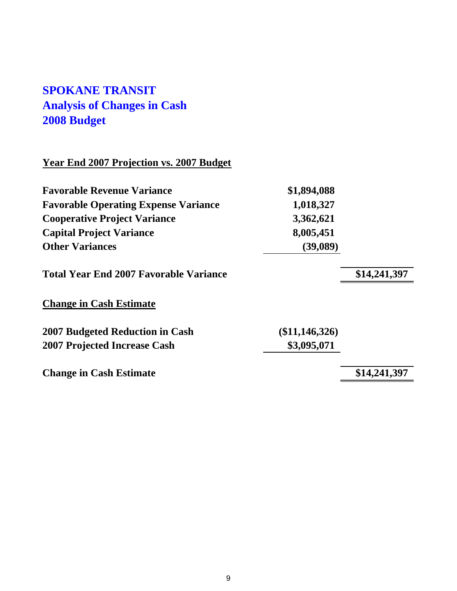### **SPOKANE TRANSIT Analysis of Changes in Cash 2008 Budget**

#### **Year End 2007 Projection vs. 2007 Budget**

| <b>Favorable Revenue Variance</b>           | \$1,894,088 |
|---------------------------------------------|-------------|
| <b>Favorable Operating Expense Variance</b> | 1,018,327   |
| <b>Cooperative Project Variance</b>         | 3,362,621   |
| <b>Capital Project Variance</b>             | 8,005,451   |
| <b>Other Variances</b>                      | (39,089)    |

### Total Year End 2007 Favorable Variance **\$14,241,397**

#### **Change in Cash Estimate**

**2007 Budgeted Reduction in Cash (\$11,146,326) 2007 Projected Increase Cash \$3,095,071**

**Change in Cash Estimate \$14,241,397**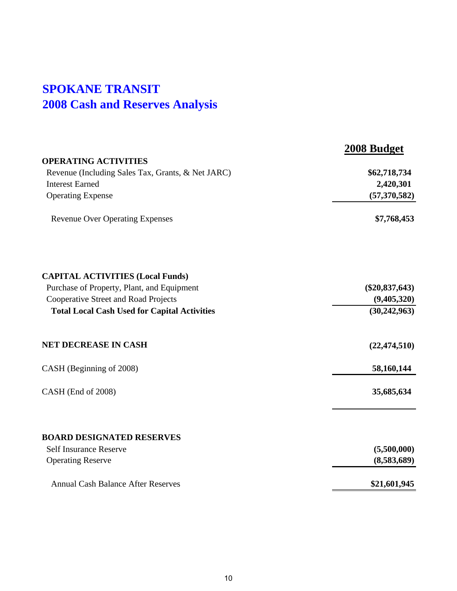### **SPOKANE TRANSIT 2008 Cash and Reserves Analysis**

|                                                     | 2008 Budget      |
|-----------------------------------------------------|------------------|
| <b>OPERATING ACTIVITIES</b>                         |                  |
| Revenue (Including Sales Tax, Grants, & Net JARC)   | \$62,718,734     |
| <b>Interest Earned</b>                              | 2,420,301        |
| <b>Operating Expense</b>                            | (57, 370, 582)   |
| <b>Revenue Over Operating Expenses</b>              | \$7,768,453      |
| <b>CAPITAL ACTIVITIES (Local Funds)</b>             |                  |
| Purchase of Property, Plant, and Equipment          | $(\$20,837,643)$ |
| <b>Cooperative Street and Road Projects</b>         | (9,405,320)      |
| <b>Total Local Cash Used for Capital Activities</b> | (30, 242, 963)   |
| <b>NET DECREASE IN CASH</b>                         | (22, 474, 510)   |
| CASH (Beginning of 2008)                            | 58,160,144       |
| CASH (End of 2008)                                  | 35,685,634       |
| <b>BOARD DESIGNATED RESERVES</b>                    |                  |
| <b>Self Insurance Reserve</b>                       | (5,500,000)      |
| <b>Operating Reserve</b>                            | (8,583,689)      |
| <b>Annual Cash Balance After Reserves</b>           | \$21,601,945     |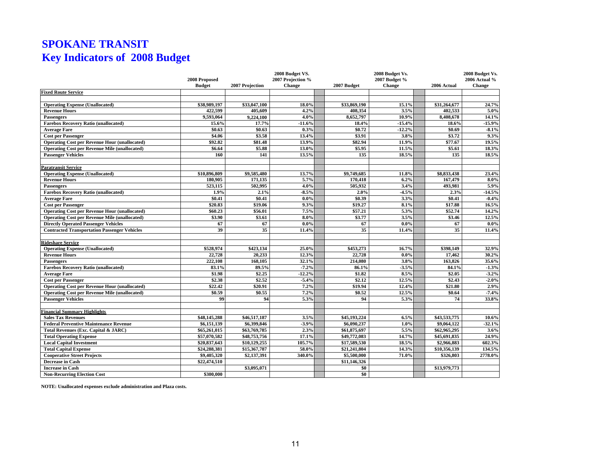### **SPOKANE TRANSIT Key Indicators of 2008 Budget**

|                                                      |                              |                              | 2008 Budget VS.   |              |           | 2008 Budget Vs. |                              | 2008 Budget Vs. |
|------------------------------------------------------|------------------------------|------------------------------|-------------------|--------------|-----------|-----------------|------------------------------|-----------------|
|                                                      | 2008 Proposed                |                              | 2007 Projection % |              |           | 2007 Budget %   |                              | 2006 Actual %   |
|                                                      | <b>Budget</b>                | 2007 Projection              | Change            | 2007 Budget  |           | <b>Change</b>   | 2006 Actual                  | Change          |
| <b>Fixed Route Service</b>                           |                              |                              |                   |              |           |                 |                              |                 |
|                                                      |                              |                              |                   |              |           |                 |                              |                 |
| <b>Operating Expense (Unallocated)</b>               | \$38,989,197                 | \$33,047,100                 | 18.0%             | \$33,869,190 |           | 15.1%           | \$31,264,677                 | 24.7%           |
| <b>Revenue Hours</b>                                 | 422.599                      | 405.609                      | 4.2%              |              | 408.354   | 3.5%            | 402.533                      | 5.0%            |
| <b>Passengers</b>                                    | 9,593,064                    | 9,224,100                    | 4.0%              |              | 8,652,797 | 10.9%           | 8,408,678                    | 14.1%           |
| <b>Farebox Recovery Ratio (unallocated)</b>          | 15.6%                        | 17.7%                        | $-11.6%$          |              | 18.4%     | $-15.4%$        | 18.6%                        | 15.9%           |
| <b>Average Fare</b>                                  | \$0.63                       | \$0.63                       | 0.3%              |              | \$0.72    | $-12.2%$        | \$0.69                       | $-8.1%$         |
| <b>Cost per Passenger</b>                            | \$4.06                       | \$3.58                       | 13.4%             |              | \$3.91    | 3.8%            | \$3.72                       | 9.3%            |
| <b>Operating Cost per Revenue Hour (unallocated)</b> | \$92.82                      | \$81.48                      | 13.9%             |              | \$82.94   | 11.9%           | \$77.67                      | 19.5%           |
| <b>Operating Cost per Revenue Mile (unallocated)</b> | \$6.64                       | \$5.88                       | 13.0%             |              | \$5.95    | 11.5%           | \$5.61                       | 18.3%           |
| <b>Passenger Vehicles</b>                            | 160                          | 141                          | 13.5%             |              | 135       | 18.5%           | 135                          | 18.5%           |
| <b>Paratransit Service</b>                           |                              |                              |                   |              |           |                 |                              |                 |
| <b>Operating Expense (Unallocated)</b>               | \$10,896,809                 | \$9,585,480                  | 13.7%             | \$9,749,685  |           | 11.8%           | \$8,833,438                  | 23.4%           |
| <b>Revenue Hours</b>                                 | 180,905                      | 171.135                      | 5.7%              |              | 170.418   | 6.2%            | 167,479                      | $8.0\%$         |
| Passengers                                           | 523,115                      | 502,995                      | 4.0%              |              | 505,932   | 3.4%            | 493,981                      | 5.9%            |
| <b>Farebox Recovery Ratio (unallocated)</b>          | 1.9%                         | 2.1%                         | $-8.5%$           |              | 2.0%      | $-4.5%$         | 2.3%                         | $-14.5%$        |
| <b>Average Fare</b>                                  | \$0.41                       | \$0.41                       | $0.0\%$           |              | \$0.39    | 3.3%            | \$0.41                       | $-0.4%$         |
| <b>Cost per Passenger</b>                            | \$20.83                      | \$19.06                      | 9.3%              |              | \$19.27   | 8.1%            | \$17.88                      | 16.5%           |
| <b>Operating Cost per Revenue Hour (unallocated)</b> | \$60.23                      | \$56.01                      | 7.5%              |              | \$57.21   | 5.3%            | \$52.74                      | 14.2%           |
| <b>Operating Cost per Revenue Mile (unallocated)</b> | \$3.90                       | \$3.61                       | 8.0%              |              | \$3.77    | 3.5%            | \$3.46                       | 12.5%           |
| <b>Directly Operated Passenger Vehicles</b>          | 67                           | 67                           | $0.0\%$           |              | 67        | $0.0\%$         | 67                           | $0.0\%$         |
| <b>Contracted Transportation Passenger Vehicles</b>  | 39                           | 35                           | 11.4%             |              | 35        | 11.4%           | 35                           | 11.4%           |
| <b>Rideshare Service</b>                             |                              |                              |                   |              |           |                 |                              |                 |
| <b>Operating Expense (Unallocated)</b>               | \$528,974                    | \$423,134                    | 25.0%             |              | \$453,273 | 16.7%           | \$398,149                    | 32.9%           |
| <b>Revenue Hours</b>                                 | 22,728                       | 20,233                       | 12.3%             |              | 22,728    | $0.0\%$         | 17,462                       | 30.2%           |
| Passengers                                           | 222,108                      | 168,105                      | 32.1%             |              | 214,080   | 3.8%            | 163,826                      | 35.6%           |
| <b>Farebox Recovery Ratio (unallocated)</b>          | 83.1%                        | 89.5%                        | $-7.2%$           |              | 86.1%     | $-3.5%$         | 84.1%                        | $-1.3%$         |
| <b>Average Fare</b>                                  | \$1.98                       | \$2.25                       | $-12.2%$          |              | \$1.82    | 8.5%            | \$2.05                       | $-3.2%$         |
| <b>Cost per Passenger</b>                            | \$2.38                       | \$2.52                       | $-5.4%$           |              | \$2.12    | 12.5%           | \$2.43                       | $-2.0%$         |
| <b>Operating Cost per Revenue Hour (unallocated)</b> | \$22.42                      | \$20.91                      | 7.2%              |              | \$19.94   | 12.4%           | \$21.80                      | 2.9%            |
| <b>Operating Cost per Revenue Mile (unallocated)</b> | \$0.59                       | \$0.55                       | 7.2%              |              | \$0.52    | 12.5%           | \$0.64                       | $-7.4%$         |
| <b>Passenger Vehicles</b>                            | 99                           | 94                           | 5.3%              |              | 94        | 5.3%            | 74                           | 33.8%           |
| <b>Financial Summary Highlights</b>                  |                              |                              |                   |              |           |                 |                              |                 |
| <b>Sales Tax Revenues</b>                            | \$48,145,288                 | \$46,517,187                 | 3.5%              | \$45,193,224 |           | 6.5%            | \$43,533,775                 | 10.6%           |
| <b>Federal Preventive Maintenance Revenue</b>        | \$6,151,139                  | \$6,399,846                  | $-3.9%$           | \$6,090,237  |           | 1.0%            | \$9,064,122                  | $-32.1%$        |
|                                                      |                              |                              | 2.3%              |              |           | 5.5%            |                              |                 |
| Total Revenues (Exc. Capital & JARC)                 | \$65,261,015<br>\$57,070,582 | \$63,769,785<br>\$48,753,756 | 17.1%             | \$61,875,697 |           |                 | \$62,965,295<br>\$45,691,835 | 3.6%<br>24.9%   |
| <b>Total Operating Expense</b>                       |                              |                              | 105.7%            | \$49,772,083 |           | 14.7%<br>18.5%  |                              | 602.3%          |
| <b>Local Capital Investment</b>                      | \$20,837,643                 | \$10,129,255                 |                   | \$17,589,530 |           |                 | \$2,966,883                  |                 |
| <b>Total Capital Expense</b>                         | \$24,288,381                 | \$15,367,787                 | 58.0%             | \$21,241,804 |           | 14.3%           | \$10,356,139                 | 134.5%          |
| <b>Cooperative Street Projects</b>                   | \$9,405,320                  | \$2,137,391                  | 340.0%            | \$5,500,000  |           | 71.0%           | \$326,803                    | 2778.0%         |
| Decrease in Cash                                     | \$22,474,510                 |                              |                   | \$11,146,326 |           |                 |                              |                 |
| <b>Increase in Cash</b>                              |                              | \$3,095,071                  |                   |              | \$0       |                 | \$13,979,773                 |                 |
| <b>Non-Recurring Election Cost</b>                   | \$300,000                    |                              |                   |              | \$0       |                 |                              |                 |

**NOTE: Unallocated expenses exclude administration and Plaza costs.**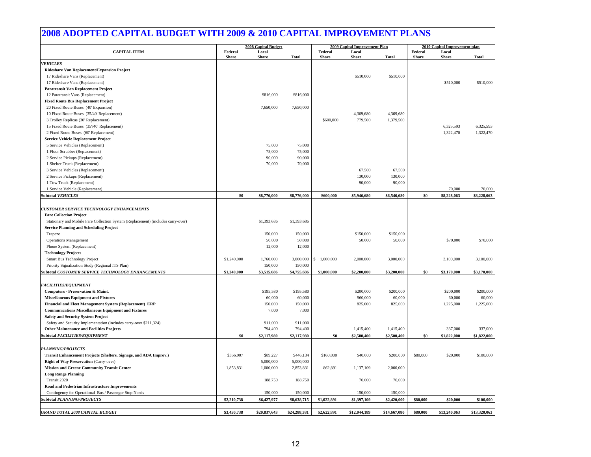#### **2008 ADOPTED CAPITAL BUDGET WITH 2009 & 2010 CAPITAL IMPROVEMENT PLANS**

|                                                                                  | <b>2008 Capital Budget</b> |                       |              |                         | 2009 Capital Improvement Plan |              | 2010 Capital Improvement plan |                       |              |  |
|----------------------------------------------------------------------------------|----------------------------|-----------------------|--------------|-------------------------|-------------------------------|--------------|-------------------------------|-----------------------|--------------|--|
| <b>CAPITAL ITEM</b>                                                              | Federal<br><b>Share</b>    | Local<br><b>Share</b> | <b>Total</b> | Federal<br><b>Share</b> | Local<br><b>Share</b>         | <b>Total</b> | Federal<br><b>Share</b>       | Local<br><b>Share</b> | <b>Total</b> |  |
| <b>VEHICLES</b>                                                                  |                            |                       |              |                         |                               |              |                               |                       |              |  |
| Rideshare Van Replacement/Expansion Project                                      |                            |                       |              |                         |                               |              |                               |                       |              |  |
| 17 Rideshare Vans (Replacement)                                                  |                            |                       |              |                         | \$510,000                     | \$510,000    |                               |                       |              |  |
| 17 Rideshare Vans (Replacement)                                                  |                            |                       |              |                         |                               |              |                               | \$510,000             | \$510,000    |  |
| <b>Paratransit Van Replacement Project</b>                                       |                            |                       |              |                         |                               |              |                               |                       |              |  |
| 12 Paratransit Vans (Replacement)                                                |                            | \$816,000             | \$816,000    |                         |                               |              |                               |                       |              |  |
| <b>Fixed Route Bus Replacement Project</b>                                       |                            |                       |              |                         |                               |              |                               |                       |              |  |
| 20 Fixed Route Buses (40' Expansion)                                             |                            | 7,650,000             | 7,650,000    |                         |                               |              |                               |                       |              |  |
| 10 Fixed Route Buses (35/40' Replacement)                                        |                            |                       |              |                         | 4,369,680                     | 4,369,680    |                               |                       |              |  |
| 3 Trolley Replicas (30' Replacement)                                             |                            |                       |              | \$600,000               | 779,500                       | 1,379,500    |                               |                       |              |  |
| 15 Fixed Route Buses (35'/40' Replacement)                                       |                            |                       |              |                         |                               |              |                               | 6,325,593             | 6,325,593    |  |
| 2 Fixed Route Buses (60' Replacement)                                            |                            |                       |              |                         |                               |              |                               | 1,322,470             | 1,322,470    |  |
| <b>Service Vehicle Replacement Project</b>                                       |                            |                       |              |                         |                               |              |                               |                       |              |  |
| 5 Service Vehicles (Replacement)                                                 |                            | 75,000                | 75,000       |                         |                               |              |                               |                       |              |  |
| 1 Floor Scrubber (Replacement)                                                   |                            | 75,000                | 75,000       |                         |                               |              |                               |                       |              |  |
| 2 Service Pickups (Replacement)                                                  |                            | 90,000                | 90,000       |                         |                               |              |                               |                       |              |  |
| 1 Shelter Truck (Replacement)                                                    |                            | 70,000                | 70,000       |                         |                               |              |                               |                       |              |  |
| 3 Service Vehicles (Replacement)                                                 |                            |                       |              |                         | 67,500                        | 67,500       |                               |                       |              |  |
| 2 Service Pickups (Replacement)                                                  |                            |                       |              |                         | 130,000                       | 130,000      |                               |                       |              |  |
| 1 Tow Truck (Replacement)                                                        |                            |                       |              |                         | 90,000                        | 90,000       |                               |                       |              |  |
| 1 Service Vehicle (Replacement)                                                  |                            |                       |              |                         |                               |              |                               | 70,000                | 70,000       |  |
| <b>Subtotal VEHICLES</b>                                                         | \$0                        | \$8,776,000           | \$8,776,000  | \$600,000               | \$5,946,680                   | \$6,546,680  | \$0                           | \$8,228,063           | \$8,228,063  |  |
|                                                                                  |                            |                       |              |                         |                               |              |                               |                       |              |  |
| <b>CUSTOMER SERVICE TECHNOLOGY ENHANCEMENTS</b>                                  |                            |                       |              |                         |                               |              |                               |                       |              |  |
| <b>Fare Collection Project</b>                                                   |                            |                       |              |                         |                               |              |                               |                       |              |  |
| Stationary and Mobile Fare Collection System (Replacement) (includes carry-over) |                            | \$1,393,686           | \$1,393,686  |                         |                               |              |                               |                       |              |  |
| <b>Service Planning and Scheduling Project</b>                                   |                            |                       |              |                         |                               |              |                               |                       |              |  |
| Trapeze                                                                          |                            | 150,000               | 150,000      |                         | \$150,000                     | \$150,000    |                               |                       |              |  |
| <b>Operations Management</b>                                                     |                            | 50,000                | 50,000       |                         | 50,000                        | 50,000       |                               | \$70,000              | \$70,000     |  |
| Phone System (Replacement)                                                       |                            | 12,000                | 12,000       |                         |                               |              |                               |                       |              |  |
| <b>Technology Projects</b>                                                       |                            |                       |              |                         |                               |              |                               |                       |              |  |
| Smart Bus Technology Project                                                     | \$1,240,000                | 1,760,000             | 3,000,000    | \$1,000,000             | 2,000,000                     | 3,000,000    |                               | 3,100,000             | 3,100,000    |  |
| Priority Signalization Study (Regional ITS Plan)                                 |                            | 150,000               | 150,000      |                         |                               |              |                               |                       |              |  |
| ubtotal CUSTOMER SERVICE TECHNOLOGY ENHANCEMENTS                                 | \$1,240,000                | \$3,515,686           | \$4,755,686  | \$1,000,000             | \$2,200,000                   | \$3,200,000  | \$0                           | \$3,170,000           | \$3,170,000  |  |
|                                                                                  |                            |                       |              |                         |                               |              |                               |                       |              |  |
| <b>FACILITIES/EQUIPMENT</b>                                                      |                            |                       |              |                         |                               |              |                               |                       |              |  |
| Computers - Preservation & Maint.                                                |                            | \$195,580             | \$195,580    |                         | \$200,000                     | \$200,000    |                               | \$200,000             | \$200,000    |  |
| <b>Miscellaneous Equipment and Fixtures</b>                                      |                            | 60,000                | 60,000       |                         | \$60,000                      | 60,000       |                               | 60,000                | 60,000       |  |
| Financial and Fleet Management System (Replacement) ERP                          |                            | 150,000               | 150,000      |                         | 825,000                       | 825,000      |                               | 1,225,000             | 1,225,000    |  |
| <b>Communications Miscellaneous Equipment and Fixtures</b>                       |                            | 7,000                 | 7,000        |                         |                               |              |                               |                       |              |  |
| <b>Safety and Security System Project</b>                                        |                            |                       |              |                         |                               |              |                               |                       |              |  |
| Safety and Security Implementation (includes carry-over \$211,324)               |                            | 911,000               | 911,000      |                         |                               |              |                               |                       |              |  |
| <b>Other Maintenance and Facilities Projects</b>                                 |                            | 794,400               | 794,400      |                         | 1,415,400                     | 1,415,400    |                               | 337,000               | 337,000      |  |
| Subtotal FACILITIES/EOUIPMENT                                                    | \$0                        | \$2,117,980           | \$2,117,980  | \$0                     | \$2,500,400                   | \$2,500,400  | \$0                           | \$1,822,000           | \$1,822,000  |  |
|                                                                                  |                            |                       |              |                         |                               |              |                               |                       |              |  |
| <b>PLANNING/PROJECTS</b>                                                         |                            |                       |              |                         |                               |              |                               |                       |              |  |
| Transit Enhancement Projects (Shelters, Signage, and ADA Improv.)                | \$356,907                  | \$89,227              | \$446,134    | \$160,000               | \$40,000                      | \$200,000    | \$80,000                      | \$20,000              | \$100,000    |  |
| <b>Right of Way Preservation (Carry-over)</b>                                    |                            | 5,000,000             | 5,000,000    |                         |                               |              |                               |                       |              |  |
| <b>Mission and Greene Community Transit Center</b>                               | 1,853,831                  | 1,000,000             | 2,853,831    | 862,891                 | 1,137,109                     | 2,000,000    |                               |                       |              |  |
| <b>Long Range Planning</b>                                                       |                            |                       |              |                         |                               |              |                               |                       |              |  |
| Transit 2020                                                                     |                            | 188,750               | 188,750      |                         | 70,000                        | 70,000       |                               |                       |              |  |
| Road and Pedestrian Infrastructure Improvements                                  |                            |                       |              |                         |                               |              |                               |                       |              |  |
| Contingency for Operational Bus / Passenger Stop Needs                           |                            | 150,000               | 150,000      |                         | 150,000                       | 150,000      |                               |                       |              |  |
| Subtotal PLANNING/PROJECTS                                                       | \$2,210,738                | \$6,427,977           | \$8,638,715  | \$1,022,891             | \$1,397,109                   | \$2,420,000  | \$80,000                      | \$20,000              | \$100,000    |  |
|                                                                                  |                            |                       |              |                         |                               |              |                               |                       |              |  |
| <b>GRAND TOTAL 2008 CAPITAL BUDGET</b>                                           | \$3,450,738                | \$20,837,643          | \$24,288,381 | \$2,622,891             | \$12,044,189                  | \$14,667,080 | \$80,000                      | \$13,240,063          | \$13,320,063 |  |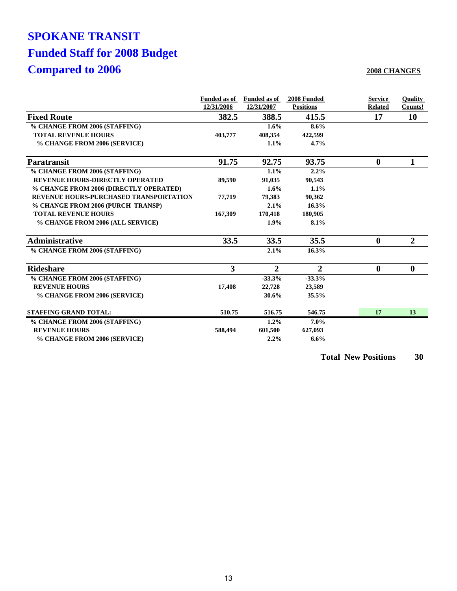## **SPOKANE TRANSIT Funded Staff for 2008 Budget Compared to 2006**

#### **2008 CHANGES**

|                                               | <b>Funded as of</b><br>12/31/2006 | <b>Funded as of</b><br>12/31/2007 | 2008 Funded<br><b>Positions</b> | <b>Service</b><br><b>Related</b> | <b>Ouality</b><br>Counts! |
|-----------------------------------------------|-----------------------------------|-----------------------------------|---------------------------------|----------------------------------|---------------------------|
| <b>Fixed Route</b>                            | 382.5                             | 388.5                             | 415.5                           | 17                               | 10                        |
| % CHANGE FROM 2006 (STAFFING)                 |                                   | 1.6%                              | 8.6%                            |                                  |                           |
| <b>TOTAL REVENUE HOURS</b>                    | 403,777                           | 408,354                           | 422,599                         |                                  |                           |
| % CHANGE FROM 2006 (SERVICE)                  |                                   | 1.1%                              | 4.7%                            |                                  |                           |
| <b>Paratransit</b>                            | 91.75                             | 92.75                             | 93.75                           | $\bf{0}$                         | 1                         |
| % CHANGE FROM 2006 (STAFFING)                 |                                   | 1.1%                              | 2.2%                            |                                  |                           |
| <b>REVENUE HOURS-DIRECTLY OPERATED</b>        | 89.590                            | 91,035                            | 90,543                          |                                  |                           |
| % CHANGE FROM 2006 (DIRECTLY OPERATED)        |                                   | 1.6%                              | 1.1%                            |                                  |                           |
| <b>REVENUE HOURS-PURCHASED TRANSPORTATION</b> | 77,719                            | 79,383                            | 90,362                          |                                  |                           |
| % CHANGE FROM 2006 (PURCH TRANSP)             |                                   | 2.1%                              | 16.3%                           |                                  |                           |
| <b>TOTAL REVENUE HOURS</b>                    | 167,309                           | 170,418                           | 180,905                         |                                  |                           |
| % CHANGE FROM 2006 (ALL SERVICE)              |                                   | 1.9%                              | 8.1%                            |                                  |                           |
| <b>Administrative</b>                         | 33.5                              | 33.5                              | 35.5                            | $\mathbf 0$                      | $\overline{2}$            |
| % CHANGE FROM 2006 (STAFFING)                 |                                   | 2.1%                              | 16.3%                           |                                  |                           |
| <b>Rideshare</b>                              | 3                                 | $\overline{2}$                    | $\overline{2}$                  | $\bf{0}$                         | $\bf{0}$                  |
| % CHANGE FROM 2006 (STAFFING)                 |                                   | $-33.3%$                          | $-33.3%$                        |                                  |                           |
| <b>REVENUE HOURS</b>                          | 17,408                            | 22,728                            | 23,589                          |                                  |                           |
| % CHANGE FROM 2006 (SERVICE)                  |                                   | 30.6%                             | 35.5%                           |                                  |                           |
| <b>STAFFING GRAND TOTAL:</b>                  | 510.75                            | 516.75                            | 546.75                          | 17                               | 13                        |
| % CHANGE FROM 2006 (STAFFING)                 |                                   | 1.2%                              | $7.0\%$                         |                                  |                           |
| <b>REVENUE HOURS</b>                          | 588,494                           | 601,500                           | 627,093                         |                                  |                           |
| % CHANGE FROM 2006 (SERVICE)                  |                                   | 2.2%                              | 6.6%                            |                                  |                           |

**Total New Positions 30**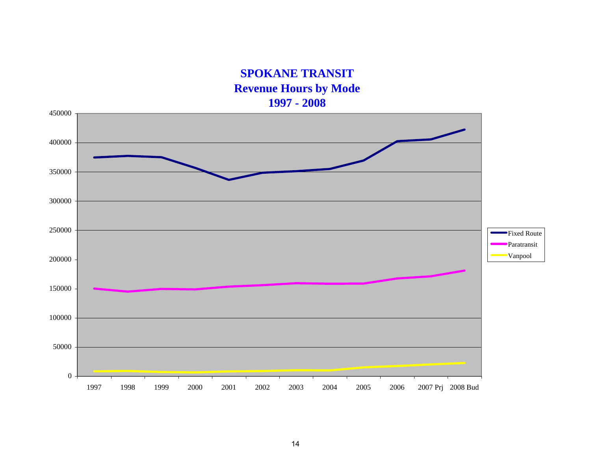**SPOKANE TRANSIT Revenue Hours by Mode 1997 - 2008**

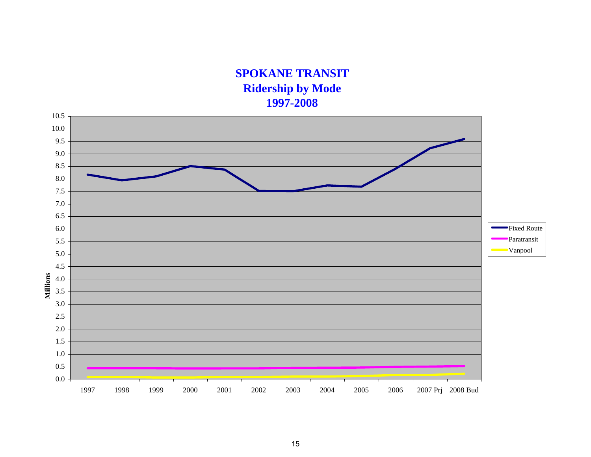### **SPOKANE TRANSIT Ridership by Mode 1997-2008**

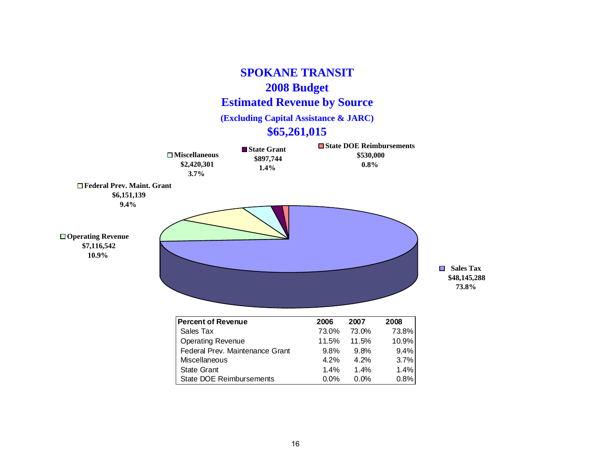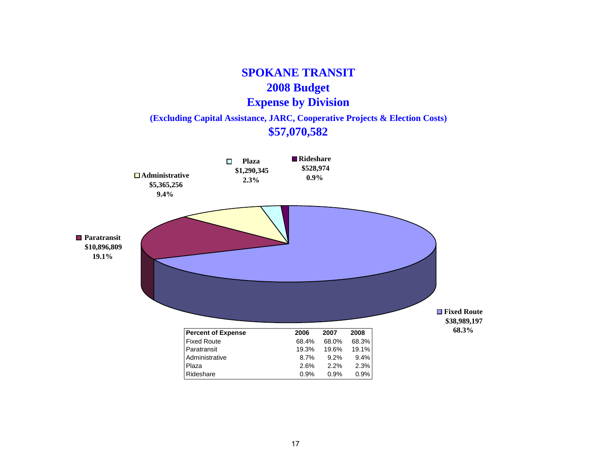### **SPOKANE TRANSIT 2008 Budget Expense by Division (Excluding Capital Assistance, JARC, Cooperative Projects & Election Costs)**

### **\$57,070,582**



17